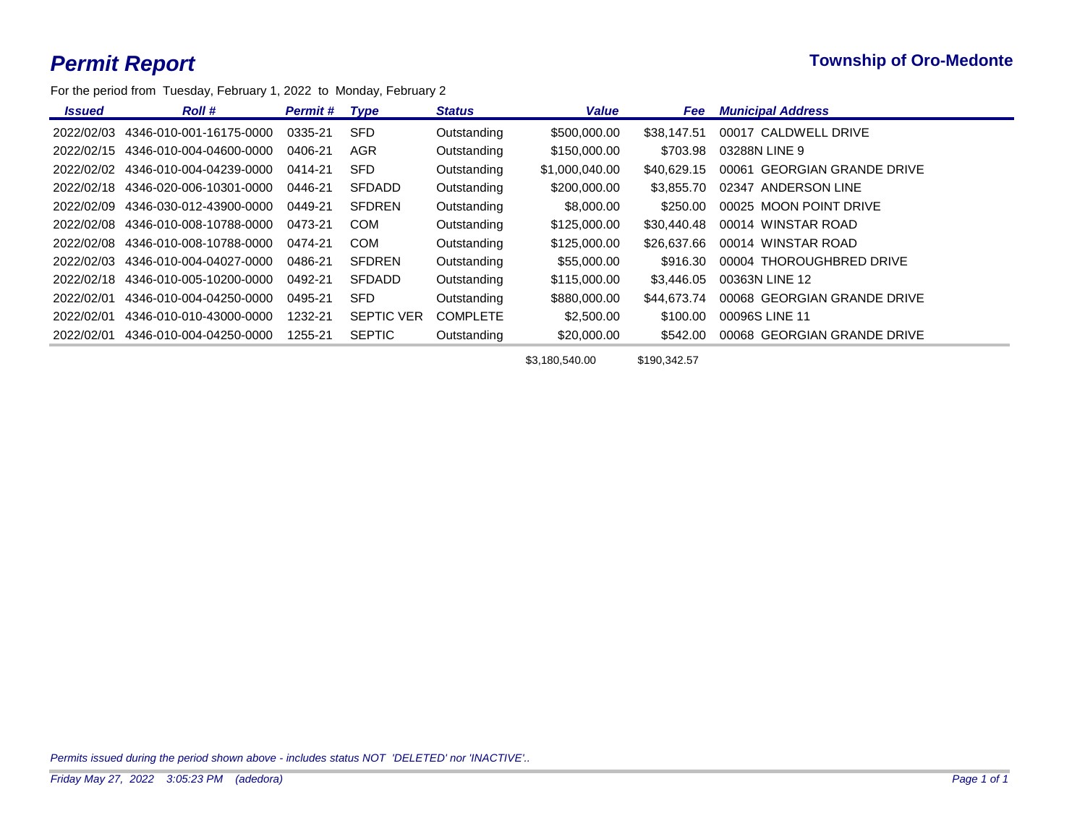For the period from Tuesday, February 1, 2022 to Monday, February 2

| <b>Issued</b> | <b>Roll</b> #           | <b>Permit#</b> | Type              | <b>Status</b>   | <b>Value</b>   | <b>Fee</b>  | <b>Municipal Address</b>              |
|---------------|-------------------------|----------------|-------------------|-----------------|----------------|-------------|---------------------------------------|
| 2022/02/03    | 4346-010-001-16175-0000 | 0335-21        | <b>SFD</b>        | Outstanding     | \$500,000,00   | \$38.147.51 | 00017 CALDWELL DRIVE                  |
| 2022/02/15    | 4346-010-004-04600-0000 | 0406-21        | <b>AGR</b>        | Outstanding     | \$150,000.00   | \$703.98    | 03288N LINE 9                         |
| 2022/02/02    | 4346-010-004-04239-0000 | 0414-21        | <b>SFD</b>        | Outstanding     | \$1,000,040,00 | \$40.629.15 | <b>GEORGIAN GRANDE DRIVE</b><br>00061 |
| 2022/02/18    | 4346-020-006-10301-0000 | 0446-21        | <b>SFDADD</b>     | Outstanding     | \$200,000,00   | \$3.855.70  | 02347<br>ANDERSON LINE                |
| 2022/02/09    | 4346-030-012-43900-0000 | 0449-21        | <b>SFDREN</b>     | Outstanding     | \$8,000,00     | \$250.00    | 00025 MOON POINT DRIVE                |
| 2022/02/08    | 4346-010-008-10788-0000 | 0473-21        | <b>COM</b>        | Outstanding     | \$125,000.00   | \$30,440.48 | 00014 WINSTAR ROAD                    |
| 2022/02/08    | 4346-010-008-10788-0000 | 0474-21        | <b>COM</b>        | Outstanding     | \$125,000,00   | \$26,637,66 | 00014 WINSTAR ROAD                    |
| 2022/02/03    | 4346-010-004-04027-0000 | 0486-21        | <b>SFDREN</b>     | Outstanding     | \$55,000.00    | \$916.30    | 00004 THOROUGHBRED DRIVE              |
| 2022/02/18    | 4346-010-005-10200-0000 | 0492-21        | <b>SFDADD</b>     | Outstanding     | \$115,000.00   | \$3.446.05  | 00363N LINE 12                        |
| 2022/02/01    | 4346-010-004-04250-0000 | 0495-21        | <b>SFD</b>        | Outstanding     | \$880,000,00   | \$44,673,74 | 00068 GEORGIAN GRANDE DRIVE           |
| 2022/02/01    | 4346-010-010-43000-0000 | 1232-21        | <b>SEPTIC VER</b> | <b>COMPLETE</b> | \$2,500.00     | \$100.00    | 00096S LINE 11                        |
| 2022/02/01    | 4346-010-004-04250-0000 | 1255-21        | <b>SEPTIC</b>     | Outstanding     | \$20,000.00    | \$542.00    | <b>GEORGIAN GRANDE DRIVE</b><br>00068 |

\$3,180,540.00 \$190,342.57

*Permits issued during the period shown above - includes status NOT 'DELETED' nor 'INACTIVE'..*